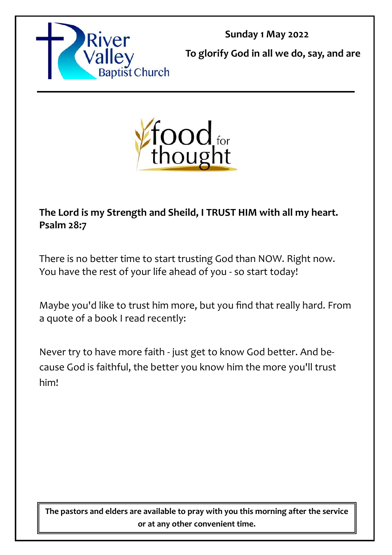

**Sunday 1 May 2022**

**To glorify God in all we do, say, and are** 



**The Lord is my Strength and Sheild, I TRUST HIM with all my heart. Psalm 28:7**

There is no better time to start trusting God than NOW. Right now. You have the rest of your life ahead of you - so start today!

Maybe you'd like to trust him more, but you find that really hard. From a quote of a book I read recently:

Never try to have more faith - just get to know God better. And because God is faithful, the better you know him the more you'll trust him!

**The pastors and elders are available to pray with you this morning after the service or at any other convenient time.**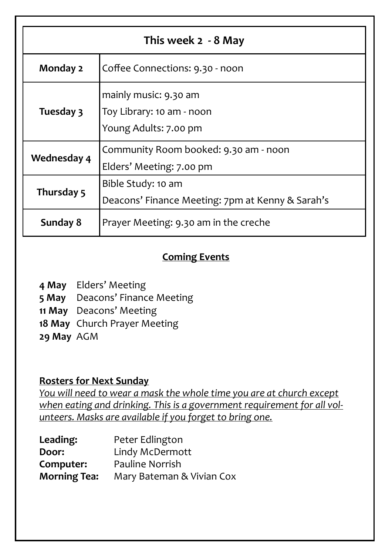| This week 2 - 8 May |                                                                             |  |
|---------------------|-----------------------------------------------------------------------------|--|
| Monday 2            | Coffee Connections: 9.30 - noon                                             |  |
| Tuesday 3           | mainly music: 9.30 am<br>Toy Library: 10 am - noon<br>Young Adults: 7.00 pm |  |
| <b>Wednesday 4</b>  | Community Room booked: 9.30 am - noon<br>Elders' Meeting: 7.00 pm           |  |
| Thursday 5          | Bible Study: 10 am<br>Deacons' Finance Meeting: 7pm at Kenny & Sarah's      |  |
| Sunday 8            | Prayer Meeting: 9.30 am in the creche                                       |  |

## **Coming Events**

- **4 May** Elders' Meeting
- **5 May** Deacons' Finance Meeting
- **11 May** Deacons' Meeting
- **18 May** Church Prayer Meeting
- **29 May** AGM

#### **Rosters for Next Sunday**

*You will need to wear a mask the whole time you are at church except when eating and drinking. This is a government requirement for all volunteers. Masks are available if you forget to bring one.*

| Leading:            | Peter Edlington           |
|---------------------|---------------------------|
| Door:               | Lindy McDermott           |
| Computer:           | Pauline Norrish           |
| <b>Morning Tea:</b> | Mary Bateman & Vivian Cox |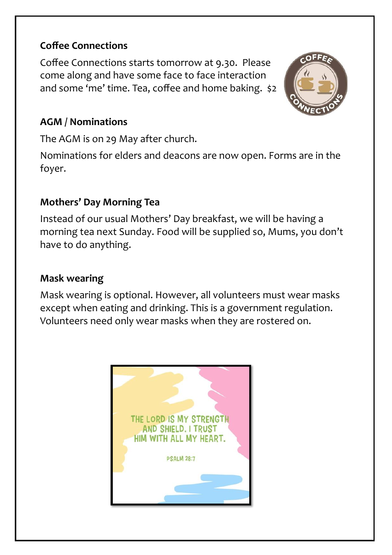## **Coffee Connections**

Coffee Connections starts tomorrow at 9.30. Please come along and have some face to face interaction and some 'me' time. Tea, coffee and home baking. \$2



#### **AGM / Nominations**

The AGM is on 29 May after church.

Nominations for elders and deacons are now open. Forms are in the foyer.

## **Mothers' Day Morning Tea**

Instead of our usual Mothers' Day breakfast, we will be having a morning tea next Sunday. Food will be supplied so, Mums, you don't have to do anything.

#### **Mask wearing**

Mask wearing is optional. However, all volunteers must wear masks except when eating and drinking. This is a government regulation. Volunteers need only wear masks when they are rostered on.